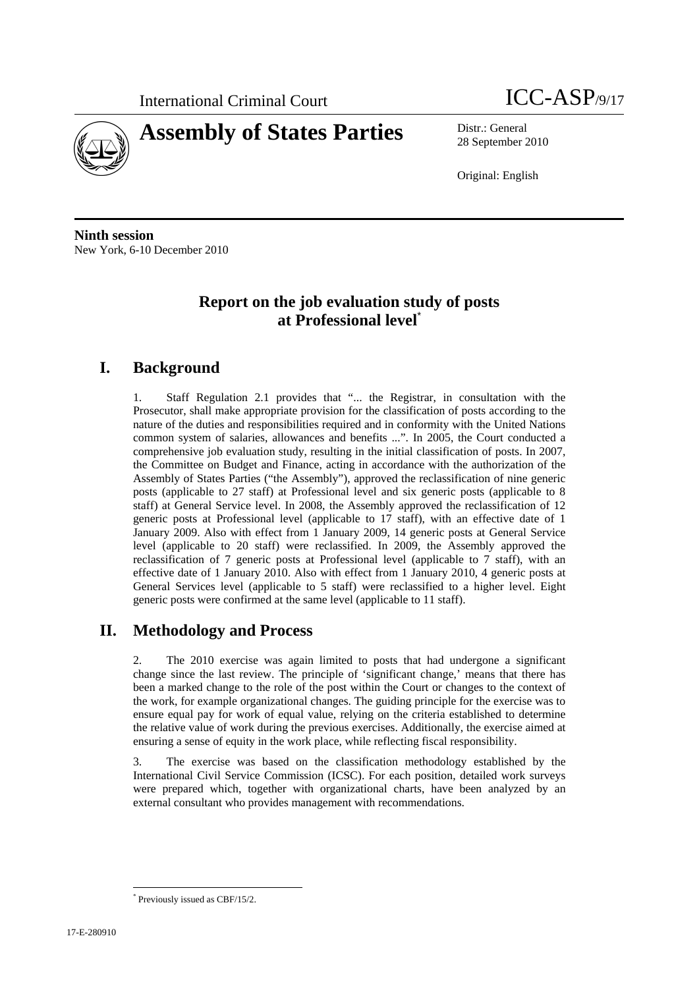



28 September 2010

Original: English

**Ninth session**  New York, 6-10 December 2010

# **Report on the job evaluation study of posts at Professional level**\*

# **I. Background**

1. Staff Regulation 2.1 provides that "... the Registrar, in consultation with the Prosecutor, shall make appropriate provision for the classification of posts according to the nature of the duties and responsibilities required and in conformity with the United Nations common system of salaries, allowances and benefits ...". In 2005, the Court conducted a comprehensive job evaluation study, resulting in the initial classification of posts. In 2007, the Committee on Budget and Finance, acting in accordance with the authorization of the Assembly of States Parties ("the Assembly"), approved the reclassification of nine generic posts (applicable to 27 staff) at Professional level and six generic posts (applicable to 8 staff) at General Service level. In 2008, the Assembly approved the reclassification of 12 generic posts at Professional level (applicable to 17 staff), with an effective date of 1 January 2009. Also with effect from 1 January 2009, 14 generic posts at General Service level (applicable to 20 staff) were reclassified. In 2009, the Assembly approved the reclassification of 7 generic posts at Professional level (applicable to 7 staff), with an effective date of 1 January 2010. Also with effect from 1 January 2010, 4 generic posts at General Services level (applicable to 5 staff) were reclassified to a higher level. Eight generic posts were confirmed at the same level (applicable to 11 staff).

# **II. Methodology and Process**

2. The 2010 exercise was again limited to posts that had undergone a significant change since the last review. The principle of 'significant change,' means that there has been a marked change to the role of the post within the Court or changes to the context of the work, for example organizational changes. The guiding principle for the exercise was to ensure equal pay for work of equal value, relying on the criteria established to determine the relative value of work during the previous exercises. Additionally, the exercise aimed at ensuring a sense of equity in the work place, while reflecting fiscal responsibility.

3. The exercise was based on the classification methodology established by the International Civil Service Commission (ICSC). For each position, detailed work surveys were prepared which, together with organizational charts, have been analyzed by an external consultant who provides management with recommendations.

 \* Previously issued as CBF/15/2.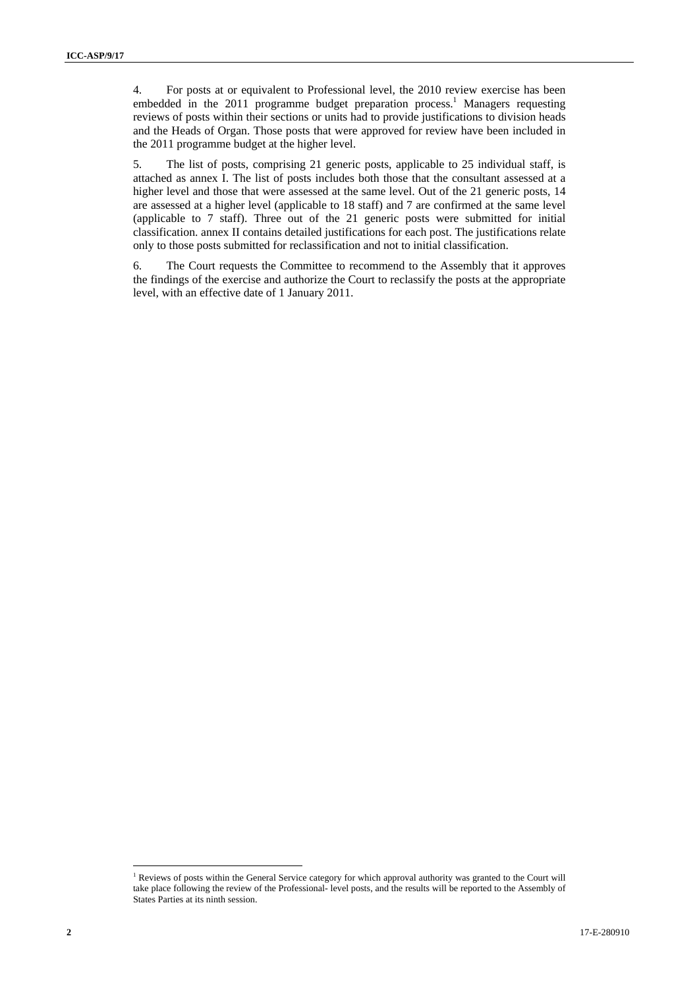4. For posts at or equivalent to Professional level, the 2010 review exercise has been embedded in the  $2011$  programme budget preparation process.<sup>1</sup> Managers requesting reviews of posts within their sections or units had to provide justifications to division heads and the Heads of Organ. Those posts that were approved for review have been included in the 2011 programme budget at the higher level.

5. The list of posts, comprising 21 generic posts, applicable to 25 individual staff, is attached as annex I. The list of posts includes both those that the consultant assessed at a higher level and those that were assessed at the same level. Out of the 21 generic posts, 14 are assessed at a higher level (applicable to 18 staff) and 7 are confirmed at the same level (applicable to 7 staff). Three out of the 21 generic posts were submitted for initial classification. annex II contains detailed justifications for each post. The justifications relate only to those posts submitted for reclassification and not to initial classification.

6. The Court requests the Committee to recommend to the Assembly that it approves the findings of the exercise and authorize the Court to reclassify the posts at the appropriate level, with an effective date of 1 January 2011.

 $\overline{a}$ <sup>1</sup> Reviews of posts within the General Service category for which approval authority was granted to the Court will take place following the review of the Professional- level posts, and the results will be reported to the Assembly of States Parties at its ninth session.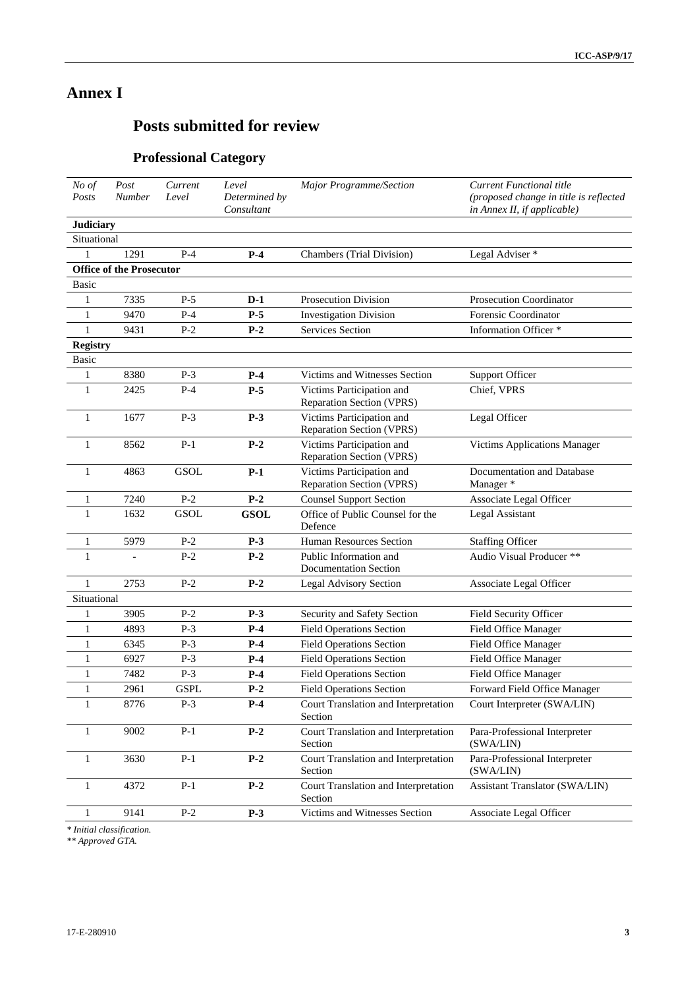# **Annex I**

# **Posts submitted for review**

# **Professional Category**

| No of<br>Posts                  | Post<br>Number | Current<br>Level | Level<br>Determined by<br>Consultant | Major Programme/Section                                | <b>Current Functional title</b><br>(proposed change in title is reflected<br>in Annex II, if applicable) |
|---------------------------------|----------------|------------------|--------------------------------------|--------------------------------------------------------|----------------------------------------------------------------------------------------------------------|
| <b>Judiciary</b>                |                |                  |                                      |                                                        |                                                                                                          |
| Situational                     |                |                  |                                      |                                                        |                                                                                                          |
|                                 | 1291           | $P-4$            | $P-4$                                | <b>Chambers</b> (Trial Division)                       | Legal Adviser *                                                                                          |
| <b>Office of the Prosecutor</b> |                |                  |                                      |                                                        |                                                                                                          |
| Basic                           |                |                  |                                      |                                                        |                                                                                                          |
| 1                               | 7335           | $P-5$            | $D-1$                                | <b>Prosecution Division</b>                            | Prosecution Coordinator                                                                                  |
| 1                               | 9470           | $P-4$            | $P-5$                                | <b>Investigation Division</b>                          | Forensic Coordinator                                                                                     |
| $\mathbf{1}$                    | 9431           | $P-2$            | $P-2$                                | <b>Services Section</b>                                | Information Officer *                                                                                    |
| <b>Registry</b>                 |                |                  |                                      |                                                        |                                                                                                          |
| <b>Basic</b>                    |                |                  |                                      |                                                        |                                                                                                          |
| 1                               | 8380           | $P-3$            | $P-4$                                | Victims and Witnesses Section                          | <b>Support Officer</b>                                                                                   |
| 1                               | 2425           | $P-4$            | $P-5$                                | Victims Participation and<br>Reparation Section (VPRS) | Chief, VPRS                                                                                              |
| 1                               | 1677           | $P-3$            | $P-3$                                | Victims Participation and<br>Reparation Section (VPRS) | Legal Officer                                                                                            |
| 1                               | 8562           | $P-1$            | $P-2$                                | Victims Participation and<br>Reparation Section (VPRS) | Victims Applications Manager                                                                             |
| 1                               | 4863           | GSOL             | $P-1$                                | Victims Participation and<br>Reparation Section (VPRS) | Documentation and Database<br>Manager *                                                                  |
| 1                               | 7240           | $P-2$            | $P-2$                                | <b>Counsel Support Section</b>                         | Associate Legal Officer                                                                                  |
| 1                               | 1632           | GSOL             | <b>GSOL</b>                          | Office of Public Counsel for the<br>Defence            | Legal Assistant                                                                                          |
| 1                               | 5979           | $P-2$            | $P-3$                                | Human Resources Section                                | <b>Staffing Officer</b>                                                                                  |
| 1                               |                | $P-2$            | $P-2$                                | Public Information and<br><b>Documentation Section</b> | Audio Visual Producer **                                                                                 |
| 1                               | 2753           | $P-2$            | $P-2$                                | Legal Advisory Section                                 | Associate Legal Officer                                                                                  |
| Situational                     |                |                  |                                      |                                                        |                                                                                                          |
| 1                               | 3905           | $P-2$            | $P-3$                                | Security and Safety Section                            | Field Security Officer                                                                                   |
| $\mathbf{1}$                    | 4893           | $P-3$            | $P-4$                                | <b>Field Operations Section</b>                        | Field Office Manager                                                                                     |
| 1                               | 6345           | $P-3$            | $P-4$                                | <b>Field Operations Section</b>                        | Field Office Manager                                                                                     |
| 1                               | 6927           | $P-3$            | $P-4$                                | <b>Field Operations Section</b>                        | Field Office Manager                                                                                     |
| 1                               | 7482           | $P-3$            | $P-4$                                | <b>Field Operations Section</b>                        | Field Office Manager                                                                                     |
| 1                               | 2961           | <b>GSPL</b>      | $P-2$                                | <b>Field Operations Section</b>                        | Forward Field Office Manager                                                                             |
| 1                               | 8776           | $P-3$            | $P-4$                                | Court Translation and Interpretation<br>Section        | Court Interpreter (SWA/LIN)                                                                              |
| 1                               | 9002           | $P-1$            | $P-2$                                | Court Translation and Interpretation<br>Section        | Para-Professional Interpreter<br>(SWA/LIN)                                                               |
| $\mathbf{1}$                    | 3630           | $P-1$            | $P-2$                                | Court Translation and Interpretation<br>Section        | Para-Professional Interpreter<br>(SWA/LIN)                                                               |
| 1                               | 4372           | $P-1$            | $P-2$                                | Court Translation and Interpretation<br>Section        | <b>Assistant Translator (SWA/LIN)</b>                                                                    |
| 1                               | 9141           | $P-2$            | $P-3$                                | Victims and Witnesses Section                          | Associate Legal Officer                                                                                  |

*\* Initial classification.* 

*\*\* Approved GTA.*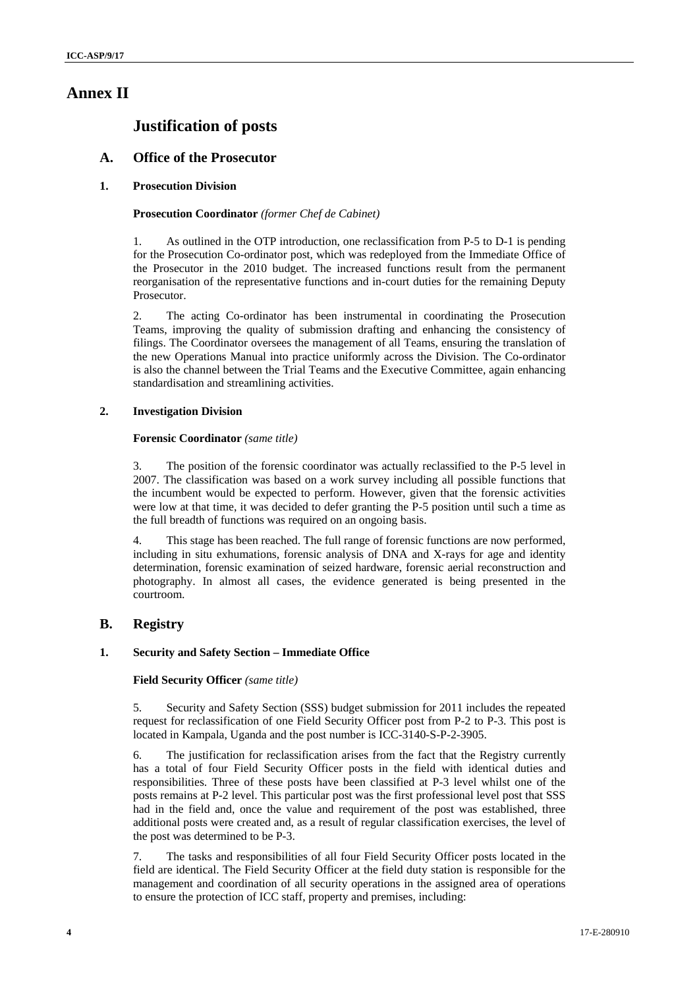# **Annex II**

# **Justification of posts**

# **A. Office of the Prosecutor**

# **1. Prosecution Division**

# **Prosecution Coordinator** *(former Chef de Cabinet)*

1. As outlined in the OTP introduction, one reclassification from P-5 to D-1 is pending for the Prosecution Co-ordinator post, which was redeployed from the Immediate Office of the Prosecutor in the 2010 budget. The increased functions result from the permanent reorganisation of the representative functions and in-court duties for the remaining Deputy Prosecutor.

2. The acting Co-ordinator has been instrumental in coordinating the Prosecution Teams, improving the quality of submission drafting and enhancing the consistency of filings. The Coordinator oversees the management of all Teams, ensuring the translation of the new Operations Manual into practice uniformly across the Division. The Co-ordinator is also the channel between the Trial Teams and the Executive Committee, again enhancing standardisation and streamlining activities.

# **2. Investigation Division**

# **Forensic Coordinator** *(same title)*

3. The position of the forensic coordinator was actually reclassified to the P-5 level in 2007. The classification was based on a work survey including all possible functions that the incumbent would be expected to perform. However, given that the forensic activities were low at that time, it was decided to defer granting the P-5 position until such a time as the full breadth of functions was required on an ongoing basis.

4. This stage has been reached. The full range of forensic functions are now performed, including in situ exhumations, forensic analysis of DNA and X-rays for age and identity determination, forensic examination of seized hardware, forensic aerial reconstruction and photography. In almost all cases, the evidence generated is being presented in the courtroom.

# **B. Registry**

# **1. Security and Safety Section – Immediate Office**

# **Field Security Officer** *(same title)*

5. Security and Safety Section (SSS) budget submission for 2011 includes the repeated request for reclassification of one Field Security Officer post from P-2 to P-3. This post is located in Kampala, Uganda and the post number is ICC-3140-S-P-2-3905.

6. The justification for reclassification arises from the fact that the Registry currently has a total of four Field Security Officer posts in the field with identical duties and responsibilities. Three of these posts have been classified at P-3 level whilst one of the posts remains at P-2 level. This particular post was the first professional level post that SSS had in the field and, once the value and requirement of the post was established, three additional posts were created and, as a result of regular classification exercises, the level of the post was determined to be P-3.

7. The tasks and responsibilities of all four Field Security Officer posts located in the field are identical. The Field Security Officer at the field duty station is responsible for the management and coordination of all security operations in the assigned area of operations to ensure the protection of ICC staff, property and premises, including: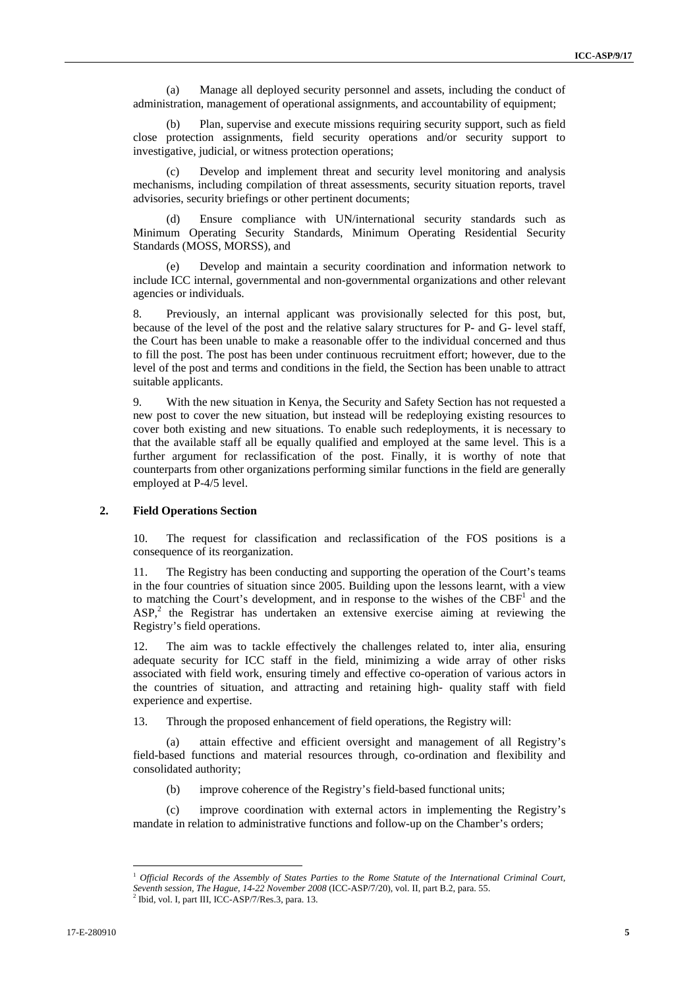(a) Manage all deployed security personnel and assets, including the conduct of administration, management of operational assignments, and accountability of equipment;

(b) Plan, supervise and execute missions requiring security support, such as field close protection assignments, field security operations and/or security support to investigative, judicial, or witness protection operations;

(c) Develop and implement threat and security level monitoring and analysis mechanisms, including compilation of threat assessments, security situation reports, travel advisories, security briefings or other pertinent documents;

(d) Ensure compliance with UN/international security standards such as Minimum Operating Security Standards, Minimum Operating Residential Security Standards (MOSS, MORSS), and

(e) Develop and maintain a security coordination and information network to include ICC internal, governmental and non-governmental organizations and other relevant agencies or individuals.

8. Previously, an internal applicant was provisionally selected for this post, but, because of the level of the post and the relative salary structures for P- and G- level staff, the Court has been unable to make a reasonable offer to the individual concerned and thus to fill the post. The post has been under continuous recruitment effort; however, due to the level of the post and terms and conditions in the field, the Section has been unable to attract suitable applicants.

9. With the new situation in Kenya, the Security and Safety Section has not requested a new post to cover the new situation, but instead will be redeploying existing resources to cover both existing and new situations. To enable such redeployments, it is necessary to that the available staff all be equally qualified and employed at the same level. This is a further argument for reclassification of the post. Finally, it is worthy of note that counterparts from other organizations performing similar functions in the field are generally employed at P-4/5 level.

# **2. Field Operations Section**

10. The request for classification and reclassification of the FOS positions is a consequence of its reorganization.

11. The Registry has been conducting and supporting the operation of the Court's teams in the four countries of situation since 2005. Building upon the lessons learnt, with a view to matching the Court's development, and in response to the wishes of the  $CBF<sup>1</sup>$  and the ASP,<sup>2</sup> the Registrar has undertaken an extensive exercise aiming at reviewing the Registry's field operations.

12. The aim was to tackle effectively the challenges related to, inter alia, ensuring adequate security for ICC staff in the field, minimizing a wide array of other risks associated with field work, ensuring timely and effective co-operation of various actors in the countries of situation, and attracting and retaining high- quality staff with field experience and expertise.

13. Through the proposed enhancement of field operations, the Registry will:

(a) attain effective and efficient oversight and management of all Registry's field-based functions and material resources through, co-ordination and flexibility and consolidated authority;

(b) improve coherence of the Registry's field-based functional units;

(c) improve coordination with external actors in implementing the Registry's mandate in relation to administrative functions and follow-up on the Chamber's orders;

 $\overline{a}$ 

<sup>1</sup> *Official Records of the Assembly of States Parties to the Rome Statute of the International Criminal Court, Seventh session, The Hague, 14-22 November 2008* (ICC-ASP/7/20), vol. II, part B.2, para. 55. 2

 $2$  Ibid, vol. I, part III, ICC-ASP/7/Res.3, para. 13.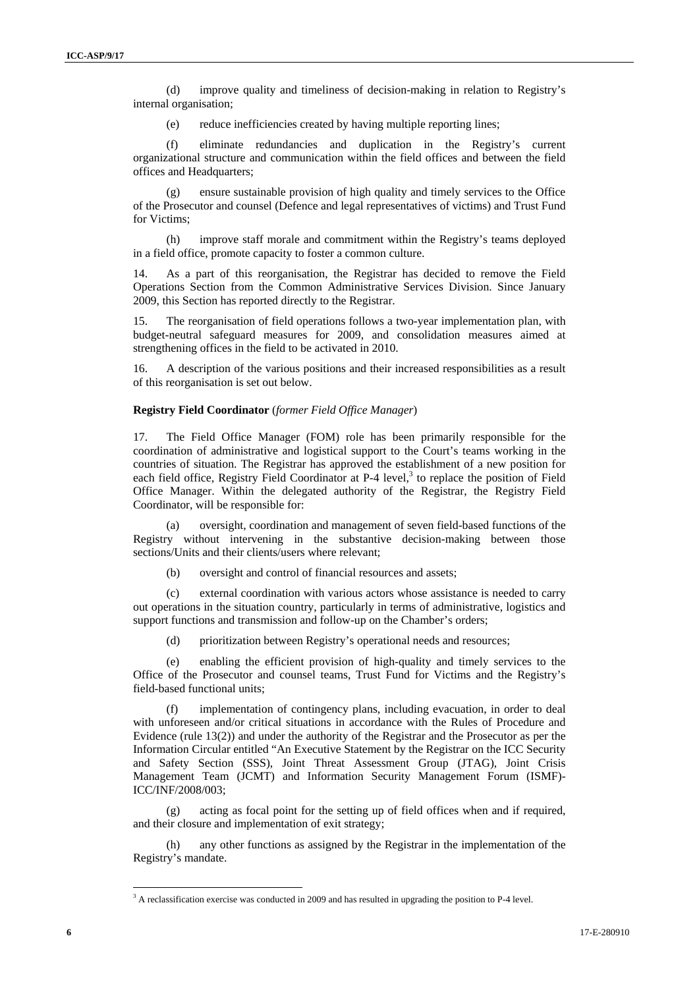(d) improve quality and timeliness of decision-making in relation to Registry's internal organisation;

(e) reduce inefficiencies created by having multiple reporting lines;

(f) eliminate redundancies and duplication in the Registry's current organizational structure and communication within the field offices and between the field offices and Headquarters:

(g) ensure sustainable provision of high quality and timely services to the Office of the Prosecutor and counsel (Defence and legal representatives of victims) and Trust Fund for Victims;

(h) improve staff morale and commitment within the Registry's teams deployed in a field office, promote capacity to foster a common culture.

14. As a part of this reorganisation, the Registrar has decided to remove the Field Operations Section from the Common Administrative Services Division. Since January 2009, this Section has reported directly to the Registrar.

15. The reorganisation of field operations follows a two-year implementation plan, with budget-neutral safeguard measures for 2009, and consolidation measures aimed at strengthening offices in the field to be activated in 2010.

16. A description of the various positions and their increased responsibilities as a result of this reorganisation is set out below.

#### **Registry Field Coordinator** (*former Field Office Manager*)

17. The Field Office Manager (FOM) role has been primarily responsible for the coordination of administrative and logistical support to the Court's teams working in the countries of situation. The Registrar has approved the establishment of a new position for each field office, Registry Field Coordinator at P-4 level, $3$  to replace the position of Field Office Manager. Within the delegated authority of the Registrar, the Registry Field Coordinator, will be responsible for:

(a) oversight, coordination and management of seven field-based functions of the Registry without intervening in the substantive decision-making between those sections/Units and their clients/users where relevant;

(b) oversight and control of financial resources and assets;

(c) external coordination with various actors whose assistance is needed to carry out operations in the situation country, particularly in terms of administrative, logistics and support functions and transmission and follow-up on the Chamber's orders;

(d) prioritization between Registry's operational needs and resources;

(e) enabling the efficient provision of high-quality and timely services to the Office of the Prosecutor and counsel teams, Trust Fund for Victims and the Registry's field-based functional units;

implementation of contingency plans, including evacuation, in order to deal with unforeseen and/or critical situations in accordance with the Rules of Procedure and Evidence (rule 13(2)) and under the authority of the Registrar and the Prosecutor as per the Information Circular entitled "An Executive Statement by the Registrar on the ICC Security and Safety Section (SSS), Joint Threat Assessment Group (JTAG), Joint Crisis Management Team (JCMT) and Information Security Management Forum (ISMF)- ICC/INF/2008/003;

(g) acting as focal point for the setting up of field offices when and if required, and their closure and implementation of exit strategy;

(h) any other functions as assigned by the Registrar in the implementation of the Registry's mandate.

<sup>&</sup>lt;sup>3</sup> A reclassification exercise was conducted in 2009 and has resulted in upgrading the position to P-4 level.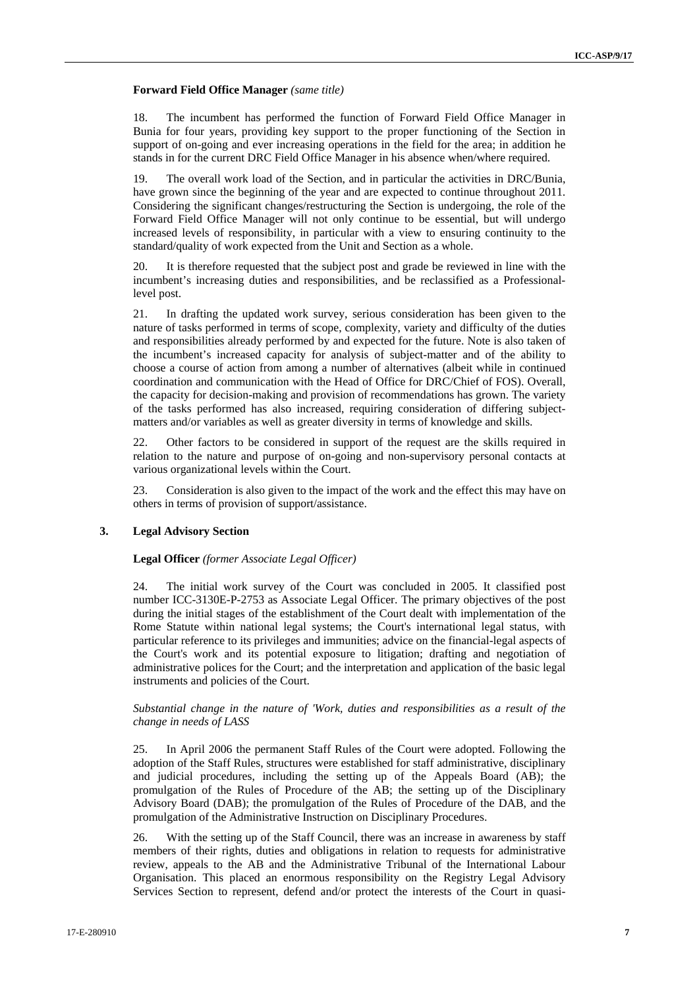# **Forward Field Office Manager** *(same title)*

18. The incumbent has performed the function of Forward Field Office Manager in Bunia for four years, providing key support to the proper functioning of the Section in support of on-going and ever increasing operations in the field for the area; in addition he stands in for the current DRC Field Office Manager in his absence when/where required.

19. The overall work load of the Section, and in particular the activities in DRC/Bunia, have grown since the beginning of the year and are expected to continue throughout 2011. Considering the significant changes/restructuring the Section is undergoing, the role of the Forward Field Office Manager will not only continue to be essential, but will undergo increased levels of responsibility, in particular with a view to ensuring continuity to the standard/quality of work expected from the Unit and Section as a whole.

20. It is therefore requested that the subject post and grade be reviewed in line with the incumbent's increasing duties and responsibilities, and be reclassified as a Professionallevel post.

21. In drafting the updated work survey, serious consideration has been given to the nature of tasks performed in terms of scope, complexity, variety and difficulty of the duties and responsibilities already performed by and expected for the future. Note is also taken of the incumbent's increased capacity for analysis of subject-matter and of the ability to choose a course of action from among a number of alternatives (albeit while in continued coordination and communication with the Head of Office for DRC/Chief of FOS). Overall, the capacity for decision-making and provision of recommendations has grown. The variety of the tasks performed has also increased, requiring consideration of differing subjectmatters and/or variables as well as greater diversity in terms of knowledge and skills.

22. Other factors to be considered in support of the request are the skills required in relation to the nature and purpose of on-going and non-supervisory personal contacts at various organizational levels within the Court.

23. Consideration is also given to the impact of the work and the effect this may have on others in terms of provision of support/assistance.

# **3. Legal Advisory Section**

# **Legal Officer** *(former Associate Legal Officer)*

24. The initial work survey of the Court was concluded in 2005. It classified post number ICC-3130E-P-2753 as Associate Legal Officer. The primary objectives of the post during the initial stages of the establishment of the Court dealt with implementation of the Rome Statute within national legal systems; the Court's international legal status, with particular reference to its privileges and immunities; advice on the financial-legal aspects of the Court's work and its potential exposure to litigation; drafting and negotiation of administrative polices for the Court; and the interpretation and application of the basic legal instruments and policies of the Court.

# *Substantial change in the nature of 'Work, duties and responsibilities as a result of the change in needs of LASS*

25. In April 2006 the permanent Staff Rules of the Court were adopted. Following the adoption of the Staff Rules, structures were established for staff administrative, disciplinary and judicial procedures, including the setting up of the Appeals Board (AB); the promulgation of the Rules of Procedure of the AB; the setting up of the Disciplinary Advisory Board (DAB); the promulgation of the Rules of Procedure of the DAB, and the promulgation of the Administrative Instruction on Disciplinary Procedures.

26. With the setting up of the Staff Council, there was an increase in awareness by staff members of their rights, duties and obligations in relation to requests for administrative review, appeals to the AB and the Administrative Tribunal of the International Labour Organisation. This placed an enormous responsibility on the Registry Legal Advisory Services Section to represent, defend and/or protect the interests of the Court in quasi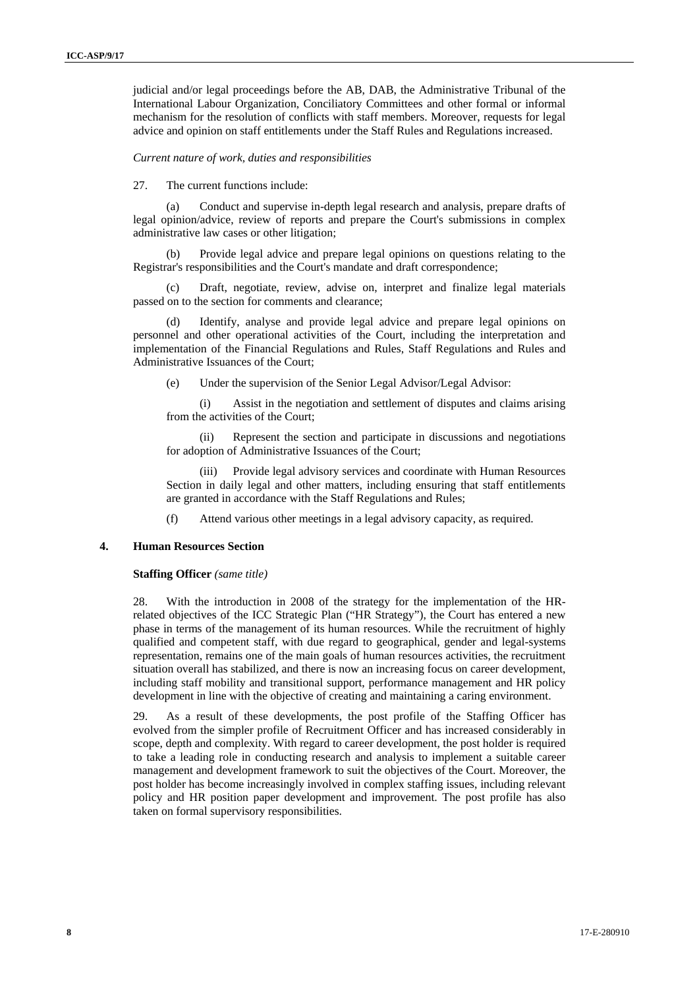judicial and/or legal proceedings before the AB, DAB, the Administrative Tribunal of the International Labour Organization, Conciliatory Committees and other formal or informal mechanism for the resolution of conflicts with staff members. Moreover, requests for legal advice and opinion on staff entitlements under the Staff Rules and Regulations increased.

#### *Current nature of work, duties and responsibilities*

27. The current functions include:

(a) Conduct and supervise in-depth legal research and analysis, prepare drafts of legal opinion/advice, review of reports and prepare the Court's submissions in complex administrative law cases or other litigation;

(b) Provide legal advice and prepare legal opinions on questions relating to the Registrar's responsibilities and the Court's mandate and draft correspondence;

(c) Draft, negotiate, review, advise on, interpret and finalize legal materials passed on to the section for comments and clearance;

(d) Identify, analyse and provide legal advice and prepare legal opinions on personnel and other operational activities of the Court, including the interpretation and implementation of the Financial Regulations and Rules, Staff Regulations and Rules and Administrative Issuances of the Court;

(e) Under the supervision of the Senior Legal Advisor/Legal Advisor:

(i) Assist in the negotiation and settlement of disputes and claims arising from the activities of the Court;

(ii) Represent the section and participate in discussions and negotiations for adoption of Administrative Issuances of the Court;

Provide legal advisory services and coordinate with Human Resources Section in daily legal and other matters, including ensuring that staff entitlements are granted in accordance with the Staff Regulations and Rules;

(f) Attend various other meetings in a legal advisory capacity, as required.

# **4. Human Resources Section**

#### **Staffing Officer** *(same title)*

28. With the introduction in 2008 of the strategy for the implementation of the HRrelated objectives of the ICC Strategic Plan ("HR Strategy"), the Court has entered a new phase in terms of the management of its human resources. While the recruitment of highly qualified and competent staff, with due regard to geographical, gender and legal-systems representation, remains one of the main goals of human resources activities, the recruitment situation overall has stabilized, and there is now an increasing focus on career development, including staff mobility and transitional support, performance management and HR policy development in line with the objective of creating and maintaining a caring environment.

29. As a result of these developments, the post profile of the Staffing Officer has evolved from the simpler profile of Recruitment Officer and has increased considerably in scope, depth and complexity. With regard to career development, the post holder is required to take a leading role in conducting research and analysis to implement a suitable career management and development framework to suit the objectives of the Court. Moreover, the post holder has become increasingly involved in complex staffing issues, including relevant policy and HR position paper development and improvement. The post profile has also taken on formal supervisory responsibilities.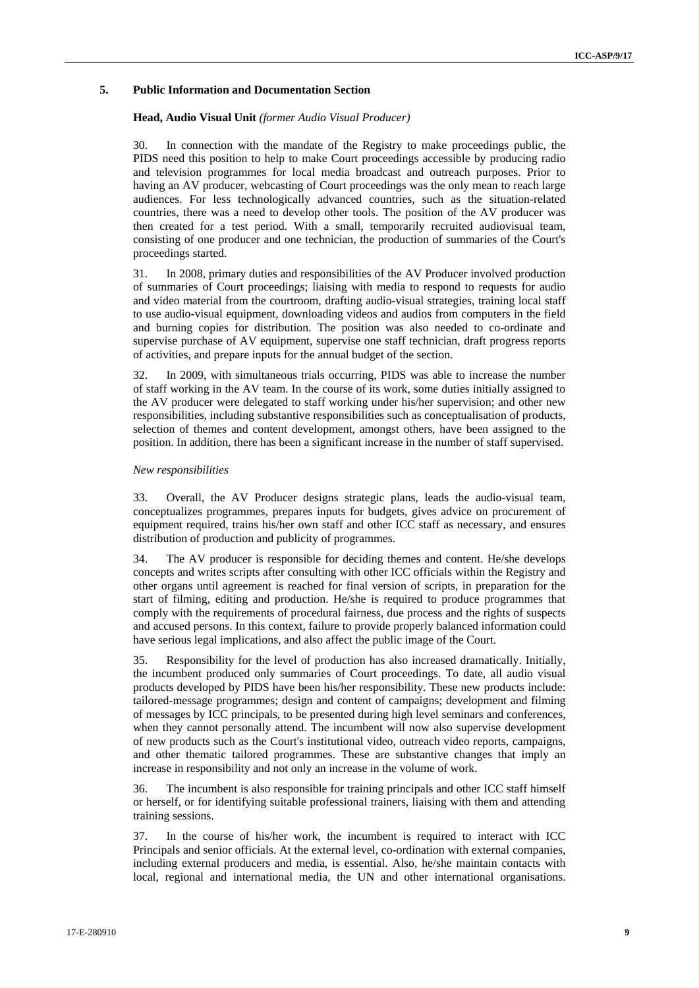# **5. Public Information and Documentation Section**

# **Head, Audio Visual Unit** *(former Audio Visual Producer)*

30. In connection with the mandate of the Registry to make proceedings public, the PIDS need this position to help to make Court proceedings accessible by producing radio and television programmes for local media broadcast and outreach purposes. Prior to having an AV producer, webcasting of Court proceedings was the only mean to reach large audiences. For less technologically advanced countries, such as the situation-related countries, there was a need to develop other tools. The position of the AV producer was then created for a test period. With a small, temporarily recruited audiovisual team, consisting of one producer and one technician, the production of summaries of the Court's proceedings started.

31. In 2008, primary duties and responsibilities of the AV Producer involved production of summaries of Court proceedings; liaising with media to respond to requests for audio and video material from the courtroom, drafting audio-visual strategies, training local staff to use audio-visual equipment, downloading videos and audios from computers in the field and burning copies for distribution. The position was also needed to co-ordinate and supervise purchase of AV equipment, supervise one staff technician, draft progress reports of activities, and prepare inputs for the annual budget of the section.

32. In 2009, with simultaneous trials occurring, PIDS was able to increase the number of staff working in the AV team. In the course of its work, some duties initially assigned to the AV producer were delegated to staff working under his/her supervision; and other new responsibilities, including substantive responsibilities such as conceptualisation of products, selection of themes and content development, amongst others, have been assigned to the position. In addition, there has been a significant increase in the number of staff supervised.

# *New responsibilities*

33. Overall, the AV Producer designs strategic plans, leads the audio-visual team, conceptualizes programmes, prepares inputs for budgets, gives advice on procurement of equipment required, trains his/her own staff and other ICC staff as necessary, and ensures distribution of production and publicity of programmes.

34. The AV producer is responsible for deciding themes and content. He/she develops concepts and writes scripts after consulting with other ICC officials within the Registry and other organs until agreement is reached for final version of scripts, in preparation for the start of filming, editing and production. He/she is required to produce programmes that comply with the requirements of procedural fairness, due process and the rights of suspects and accused persons. In this context, failure to provide properly balanced information could have serious legal implications, and also affect the public image of the Court.

35. Responsibility for the level of production has also increased dramatically. Initially, the incumbent produced only summaries of Court proceedings. To date, all audio visual products developed by PIDS have been his/her responsibility. These new products include: tailored-message programmes; design and content of campaigns; development and filming of messages by ICC principals, to be presented during high level seminars and conferences, when they cannot personally attend. The incumbent will now also supervise development of new products such as the Court's institutional video, outreach video reports, campaigns, and other thematic tailored programmes. These are substantive changes that imply an increase in responsibility and not only an increase in the volume of work.

36. The incumbent is also responsible for training principals and other ICC staff himself or herself, or for identifying suitable professional trainers, liaising with them and attending training sessions.

37. In the course of his/her work, the incumbent is required to interact with ICC Principals and senior officials. At the external level, co-ordination with external companies, including external producers and media, is essential. Also, he/she maintain contacts with local, regional and international media, the UN and other international organisations.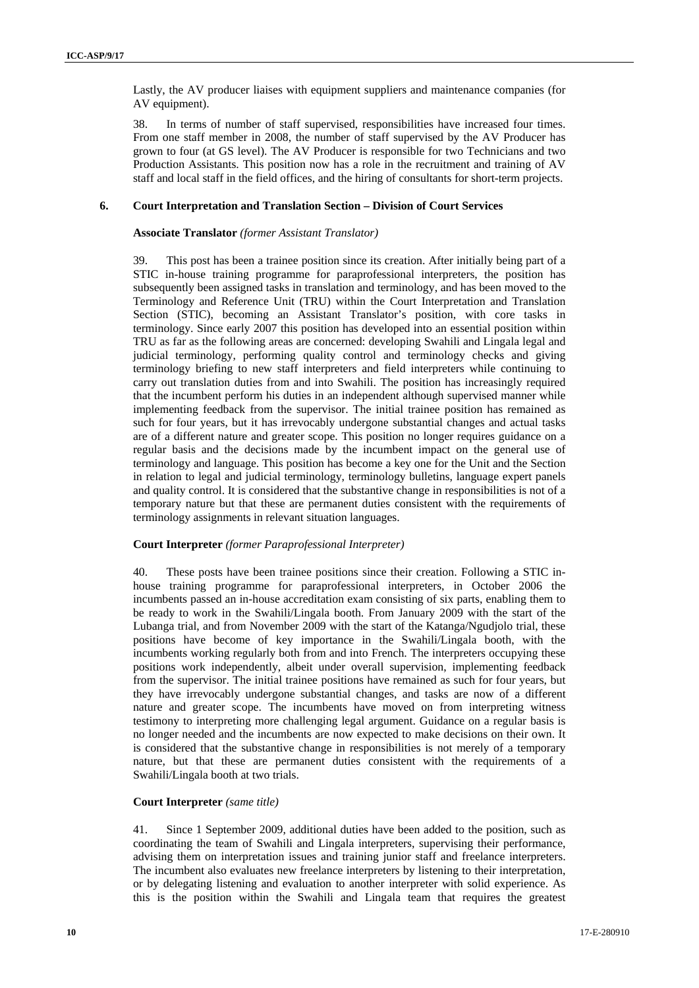Lastly, the AV producer liaises with equipment suppliers and maintenance companies (for AV equipment).

38. In terms of number of staff supervised, responsibilities have increased four times. From one staff member in 2008, the number of staff supervised by the AV Producer has grown to four (at GS level). The AV Producer is responsible for two Technicians and two Production Assistants. This position now has a role in the recruitment and training of AV staff and local staff in the field offices, and the hiring of consultants for short-term projects.

#### **6. Court Interpretation and Translation Section – Division of Court Services**

#### **Associate Translator** *(former Assistant Translator)*

39. This post has been a trainee position since its creation. After initially being part of a STIC in-house training programme for paraprofessional interpreters, the position has subsequently been assigned tasks in translation and terminology, and has been moved to the Terminology and Reference Unit (TRU) within the Court Interpretation and Translation Section (STIC), becoming an Assistant Translator's position, with core tasks in terminology. Since early 2007 this position has developed into an essential position within TRU as far as the following areas are concerned: developing Swahili and Lingala legal and judicial terminology, performing quality control and terminology checks and giving terminology briefing to new staff interpreters and field interpreters while continuing to carry out translation duties from and into Swahili. The position has increasingly required that the incumbent perform his duties in an independent although supervised manner while implementing feedback from the supervisor. The initial trainee position has remained as such for four years, but it has irrevocably undergone substantial changes and actual tasks are of a different nature and greater scope. This position no longer requires guidance on a regular basis and the decisions made by the incumbent impact on the general use of terminology and language. This position has become a key one for the Unit and the Section in relation to legal and judicial terminology, terminology bulletins, language expert panels and quality control. It is considered that the substantive change in responsibilities is not of a temporary nature but that these are permanent duties consistent with the requirements of terminology assignments in relevant situation languages.

# **Court Interpreter** *(former Paraprofessional Interpreter)*

40. These posts have been trainee positions since their creation. Following a STIC inhouse training programme for paraprofessional interpreters, in October 2006 the incumbents passed an in-house accreditation exam consisting of six parts, enabling them to be ready to work in the Swahili/Lingala booth. From January 2009 with the start of the Lubanga trial, and from November 2009 with the start of the Katanga/Ngudjolo trial, these positions have become of key importance in the Swahili/Lingala booth, with the incumbents working regularly both from and into French. The interpreters occupying these positions work independently, albeit under overall supervision, implementing feedback from the supervisor. The initial trainee positions have remained as such for four years, but they have irrevocably undergone substantial changes, and tasks are now of a different nature and greater scope. The incumbents have moved on from interpreting witness testimony to interpreting more challenging legal argument. Guidance on a regular basis is no longer needed and the incumbents are now expected to make decisions on their own. It is considered that the substantive change in responsibilities is not merely of a temporary nature, but that these are permanent duties consistent with the requirements of a Swahili/Lingala booth at two trials.

# **Court Interpreter** *(same title)*

41. Since 1 September 2009, additional duties have been added to the position, such as coordinating the team of Swahili and Lingala interpreters, supervising their performance, advising them on interpretation issues and training junior staff and freelance interpreters. The incumbent also evaluates new freelance interpreters by listening to their interpretation, or by delegating listening and evaluation to another interpreter with solid experience. As this is the position within the Swahili and Lingala team that requires the greatest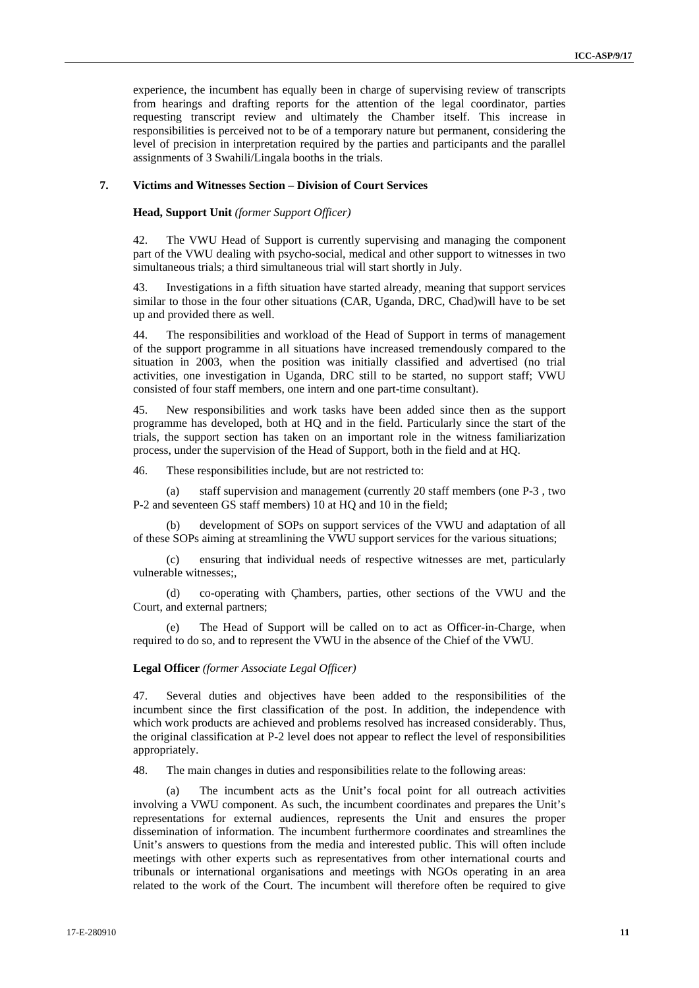experience, the incumbent has equally been in charge of supervising review of transcripts from hearings and drafting reports for the attention of the legal coordinator, parties requesting transcript review and ultimately the Chamber itself. This increase in responsibilities is perceived not to be of a temporary nature but permanent, considering the level of precision in interpretation required by the parties and participants and the parallel assignments of 3 Swahili/Lingala booths in the trials.

# **7. Victims and Witnesses Section – Division of Court Services**

**Head, Support Unit** *(former Support Officer)* 

42. The VWU Head of Support is currently supervising and managing the component part of the VWU dealing with psycho-social, medical and other support to witnesses in two simultaneous trials; a third simultaneous trial will start shortly in July.

Investigations in a fifth situation have started already, meaning that support services similar to those in the four other situations (CAR, Uganda, DRC, Chad)will have to be set up and provided there as well.

44. The responsibilities and workload of the Head of Support in terms of management of the support programme in all situations have increased tremendously compared to the situation in 2003, when the position was initially classified and advertised (no trial activities, one investigation in Uganda, DRC still to be started, no support staff; VWU consisted of four staff members, one intern and one part-time consultant).

45. New responsibilities and work tasks have been added since then as the support programme has developed, both at HQ and in the field. Particularly since the start of the trials, the support section has taken on an important role in the witness familiarization process, under the supervision of the Head of Support, both in the field and at HQ.

46. These responsibilities include, but are not restricted to:

(a) staff supervision and management (currently 20 staff members (one P-3 , two P-2 and seventeen GS staff members) 10 at HQ and 10 in the field;

development of SOPs on support services of the VWU and adaptation of all of these SOPs aiming at streamlining the VWU support services for the various situations;

(c) ensuring that individual needs of respective witnesses are met, particularly vulnerable witnesses;,

(d) co-operating with Çhambers, parties, other sections of the VWU and the Court, and external partners;

The Head of Support will be called on to act as Officer-in-Charge, when required to do so, and to represent the VWU in the absence of the Chief of the VWU.

#### **Legal Officer** *(former Associate Legal Officer)*

47. Several duties and objectives have been added to the responsibilities of the incumbent since the first classification of the post. In addition, the independence with which work products are achieved and problems resolved has increased considerably. Thus, the original classification at P-2 level does not appear to reflect the level of responsibilities appropriately.

48. The main changes in duties and responsibilities relate to the following areas:

(a) The incumbent acts as the Unit's focal point for all outreach activities involving a VWU component. As such, the incumbent coordinates and prepares the Unit's representations for external audiences, represents the Unit and ensures the proper dissemination of information. The incumbent furthermore coordinates and streamlines the Unit's answers to questions from the media and interested public. This will often include meetings with other experts such as representatives from other international courts and tribunals or international organisations and meetings with NGOs operating in an area related to the work of the Court. The incumbent will therefore often be required to give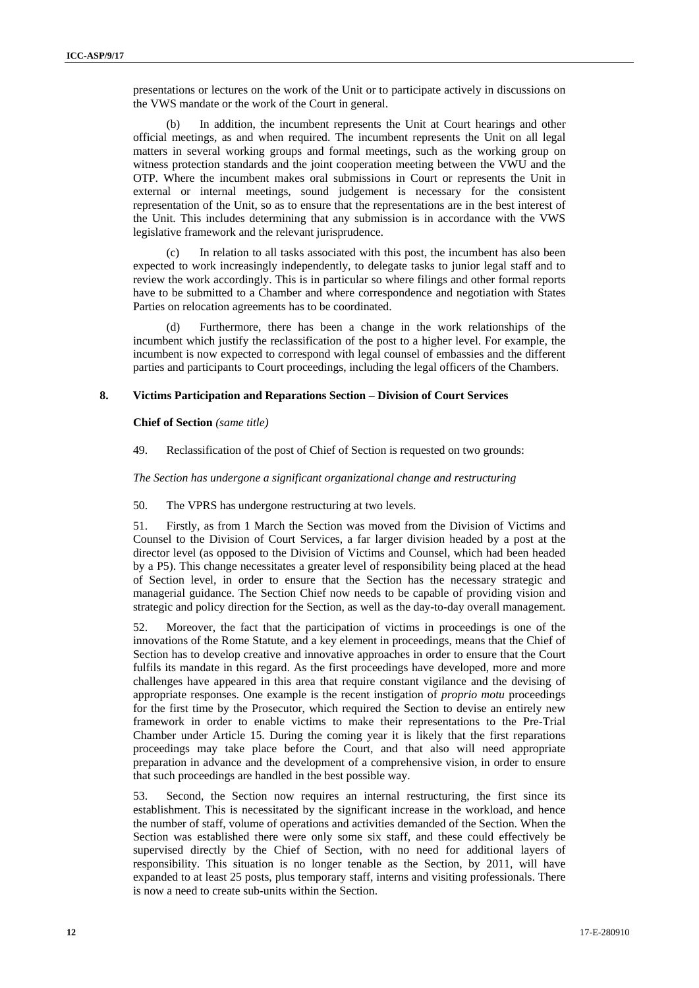presentations or lectures on the work of the Unit or to participate actively in discussions on the VWS mandate or the work of the Court in general.

(b) In addition, the incumbent represents the Unit at Court hearings and other official meetings, as and when required. The incumbent represents the Unit on all legal matters in several working groups and formal meetings, such as the working group on witness protection standards and the joint cooperation meeting between the VWU and the OTP. Where the incumbent makes oral submissions in Court or represents the Unit in external or internal meetings, sound judgement is necessary for the consistent representation of the Unit, so as to ensure that the representations are in the best interest of the Unit. This includes determining that any submission is in accordance with the VWS legislative framework and the relevant jurisprudence.

In relation to all tasks associated with this post, the incumbent has also been expected to work increasingly independently, to delegate tasks to junior legal staff and to review the work accordingly. This is in particular so where filings and other formal reports have to be submitted to a Chamber and where correspondence and negotiation with States Parties on relocation agreements has to be coordinated.

Furthermore, there has been a change in the work relationships of the incumbent which justify the reclassification of the post to a higher level. For example, the incumbent is now expected to correspond with legal counsel of embassies and the different parties and participants to Court proceedings, including the legal officers of the Chambers.

# **8. Victims Participation and Reparations Section – Division of Court Services**

**Chief of Section** *(same title)* 

49. Reclassification of the post of Chief of Section is requested on two grounds:

*The Section has undergone a significant organizational change and restructuring* 

50. The VPRS has undergone restructuring at two levels.

51. Firstly, as from 1 March the Section was moved from the Division of Victims and Counsel to the Division of Court Services, a far larger division headed by a post at the director level (as opposed to the Division of Victims and Counsel, which had been headed by a P5). This change necessitates a greater level of responsibility being placed at the head of Section level, in order to ensure that the Section has the necessary strategic and managerial guidance. The Section Chief now needs to be capable of providing vision and strategic and policy direction for the Section, as well as the day-to-day overall management.

52. Moreover, the fact that the participation of victims in proceedings is one of the innovations of the Rome Statute, and a key element in proceedings, means that the Chief of Section has to develop creative and innovative approaches in order to ensure that the Court fulfils its mandate in this regard. As the first proceedings have developed, more and more challenges have appeared in this area that require constant vigilance and the devising of appropriate responses. One example is the recent instigation of *proprio motu* proceedings for the first time by the Prosecutor, which required the Section to devise an entirely new framework in order to enable victims to make their representations to the Pre-Trial Chamber under Article 15. During the coming year it is likely that the first reparations proceedings may take place before the Court, and that also will need appropriate preparation in advance and the development of a comprehensive vision, in order to ensure that such proceedings are handled in the best possible way.

53. Second, the Section now requires an internal restructuring, the first since its establishment. This is necessitated by the significant increase in the workload, and hence the number of staff, volume of operations and activities demanded of the Section. When the Section was established there were only some six staff, and these could effectively be supervised directly by the Chief of Section, with no need for additional layers of responsibility. This situation is no longer tenable as the Section, by 2011, will have expanded to at least 25 posts, plus temporary staff, interns and visiting professionals. There is now a need to create sub-units within the Section.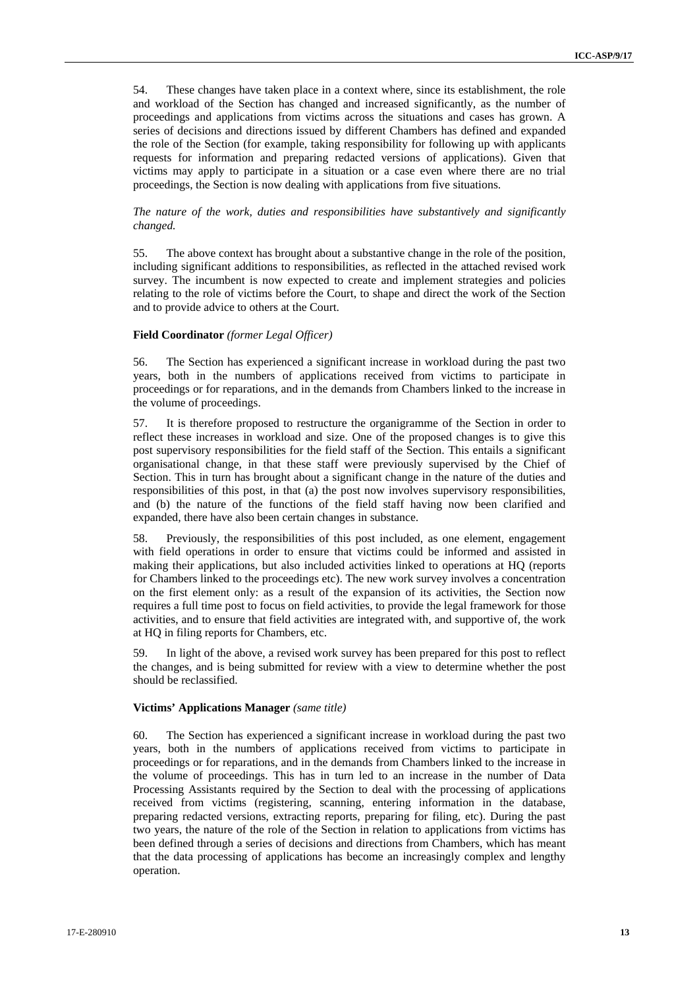54. These changes have taken place in a context where, since its establishment, the role and workload of the Section has changed and increased significantly, as the number of proceedings and applications from victims across the situations and cases has grown. A series of decisions and directions issued by different Chambers has defined and expanded the role of the Section (for example, taking responsibility for following up with applicants requests for information and preparing redacted versions of applications). Given that victims may apply to participate in a situation or a case even where there are no trial proceedings, the Section is now dealing with applications from five situations.

# *The nature of the work, duties and responsibilities have substantively and significantly changed.*

55. The above context has brought about a substantive change in the role of the position, including significant additions to responsibilities, as reflected in the attached revised work survey. The incumbent is now expected to create and implement strategies and policies relating to the role of victims before the Court, to shape and direct the work of the Section and to provide advice to others at the Court.

#### **Field Coordinator** *(former Legal Officer)*

56. The Section has experienced a significant increase in workload during the past two years, both in the numbers of applications received from victims to participate in proceedings or for reparations, and in the demands from Chambers linked to the increase in the volume of proceedings.

57. It is therefore proposed to restructure the organigramme of the Section in order to reflect these increases in workload and size. One of the proposed changes is to give this post supervisory responsibilities for the field staff of the Section. This entails a significant organisational change, in that these staff were previously supervised by the Chief of Section. This in turn has brought about a significant change in the nature of the duties and responsibilities of this post, in that (a) the post now involves supervisory responsibilities, and (b) the nature of the functions of the field staff having now been clarified and expanded, there have also been certain changes in substance.

58. Previously, the responsibilities of this post included, as one element, engagement with field operations in order to ensure that victims could be informed and assisted in making their applications, but also included activities linked to operations at HQ (reports for Chambers linked to the proceedings etc). The new work survey involves a concentration on the first element only: as a result of the expansion of its activities, the Section now requires a full time post to focus on field activities, to provide the legal framework for those activities, and to ensure that field activities are integrated with, and supportive of, the work at HQ in filing reports for Chambers, etc.

59. In light of the above, a revised work survey has been prepared for this post to reflect the changes, and is being submitted for review with a view to determine whether the post should be reclassified.

#### **Victims' Applications Manager** *(same title)*

60. The Section has experienced a significant increase in workload during the past two years, both in the numbers of applications received from victims to participate in proceedings or for reparations, and in the demands from Chambers linked to the increase in the volume of proceedings. This has in turn led to an increase in the number of Data Processing Assistants required by the Section to deal with the processing of applications received from victims (registering, scanning, entering information in the database, preparing redacted versions, extracting reports, preparing for filing, etc). During the past two years, the nature of the role of the Section in relation to applications from victims has been defined through a series of decisions and directions from Chambers, which has meant that the data processing of applications has become an increasingly complex and lengthy operation.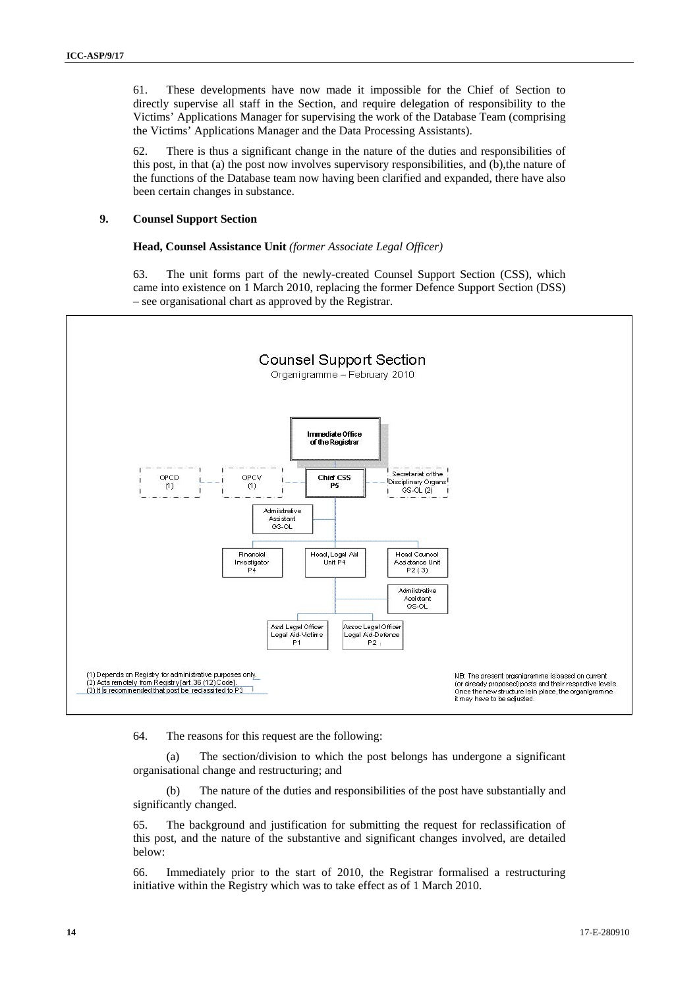61. These developments have now made it impossible for the Chief of Section to directly supervise all staff in the Section, and require delegation of responsibility to the Victims' Applications Manager for supervising the work of the Database Team (comprising the Victims' Applications Manager and the Data Processing Assistants).

62. There is thus a significant change in the nature of the duties and responsibilities of this post, in that (a) the post now involves supervisory responsibilities, and (b),the nature of the functions of the Database team now having been clarified and expanded, there have also been certain changes in substance.

# **9. Counsel Support Section**

#### **Head, Counsel Assistance Unit** *(former Associate Legal Officer)*

63. The unit forms part of the newly-created Counsel Support Section (CSS), which came into existence on 1 March 2010, replacing the former Defence Support Section (DSS) – see organisational chart as approved by the Registrar.



64. The reasons for this request are the following:

(a) The section/division to which the post belongs has undergone a significant organisational change and restructuring; and

(b) The nature of the duties and responsibilities of the post have substantially and significantly changed.

65. The background and justification for submitting the request for reclassification of this post, and the nature of the substantive and significant changes involved, are detailed below:

66. Immediately prior to the start of 2010, the Registrar formalised a restructuring initiative within the Registry which was to take effect as of 1 March 2010.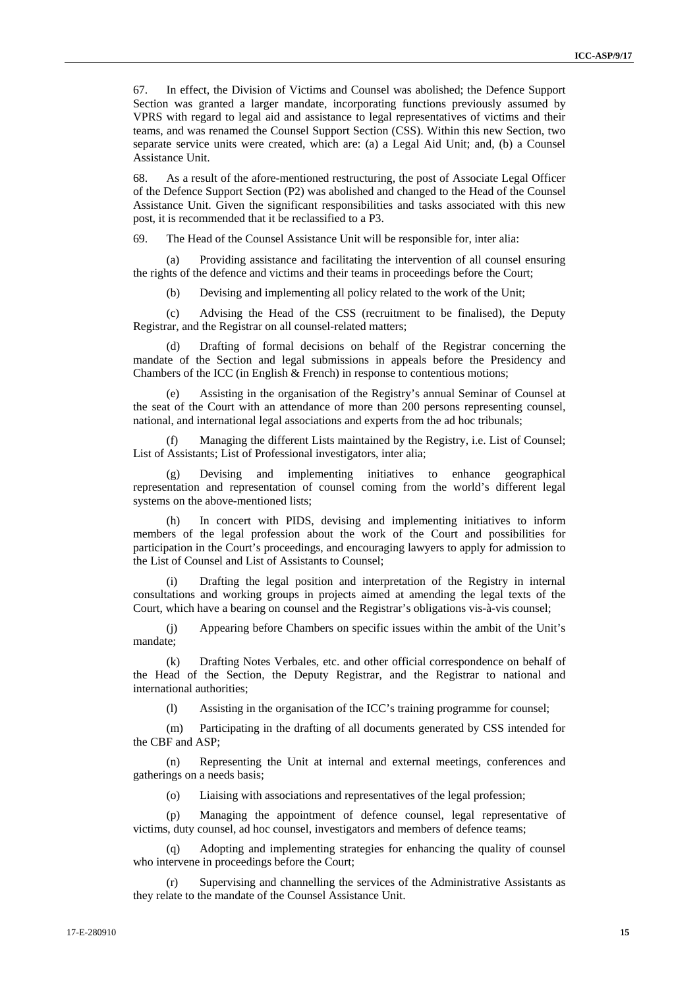67. In effect, the Division of Victims and Counsel was abolished; the Defence Support Section was granted a larger mandate, incorporating functions previously assumed by VPRS with regard to legal aid and assistance to legal representatives of victims and their teams, and was renamed the Counsel Support Section (CSS). Within this new Section, two separate service units were created, which are: (a) a Legal Aid Unit; and, (b) a Counsel Assistance Unit.

68. As a result of the afore-mentioned restructuring, the post of Associate Legal Officer of the Defence Support Section (P2) was abolished and changed to the Head of the Counsel Assistance Unit. Given the significant responsibilities and tasks associated with this new post, it is recommended that it be reclassified to a P3.

69. The Head of the Counsel Assistance Unit will be responsible for, inter alia:

Providing assistance and facilitating the intervention of all counsel ensuring the rights of the defence and victims and their teams in proceedings before the Court;

(b) Devising and implementing all policy related to the work of the Unit;

(c) Advising the Head of the CSS (recruitment to be finalised), the Deputy Registrar, and the Registrar on all counsel-related matters;

Drafting of formal decisions on behalf of the Registrar concerning the mandate of the Section and legal submissions in appeals before the Presidency and Chambers of the ICC (in English & French) in response to contentious motions;

Assisting in the organisation of the Registry's annual Seminar of Counsel at the seat of the Court with an attendance of more than 200 persons representing counsel, national, and international legal associations and experts from the ad hoc tribunals;

Managing the different Lists maintained by the Registry, i.e. List of Counsel; List of Assistants; List of Professional investigators, inter alia;

(g) Devising and implementing initiatives to enhance geographical representation and representation of counsel coming from the world's different legal systems on the above-mentioned lists;

(h) In concert with PIDS, devising and implementing initiatives to inform members of the legal profession about the work of the Court and possibilities for participation in the Court's proceedings, and encouraging lawyers to apply for admission to the List of Counsel and List of Assistants to Counsel;

(i) Drafting the legal position and interpretation of the Registry in internal consultations and working groups in projects aimed at amending the legal texts of the Court, which have a bearing on counsel and the Registrar's obligations vis-à-vis counsel;

(j) Appearing before Chambers on specific issues within the ambit of the Unit's mandate;

(k) Drafting Notes Verbales, etc. and other official correspondence on behalf of the Head of the Section, the Deputy Registrar, and the Registrar to national and international authorities;

(l) Assisting in the organisation of the ICC's training programme for counsel;

(m) Participating in the drafting of all documents generated by CSS intended for the CBF and ASP;

(n) Representing the Unit at internal and external meetings, conferences and gatherings on a needs basis;

(o) Liaising with associations and representatives of the legal profession;

(p) Managing the appointment of defence counsel, legal representative of victims, duty counsel, ad hoc counsel, investigators and members of defence teams;

Adopting and implementing strategies for enhancing the quality of counsel who intervene in proceedings before the Court;

(r) Supervising and channelling the services of the Administrative Assistants as they relate to the mandate of the Counsel Assistance Unit.